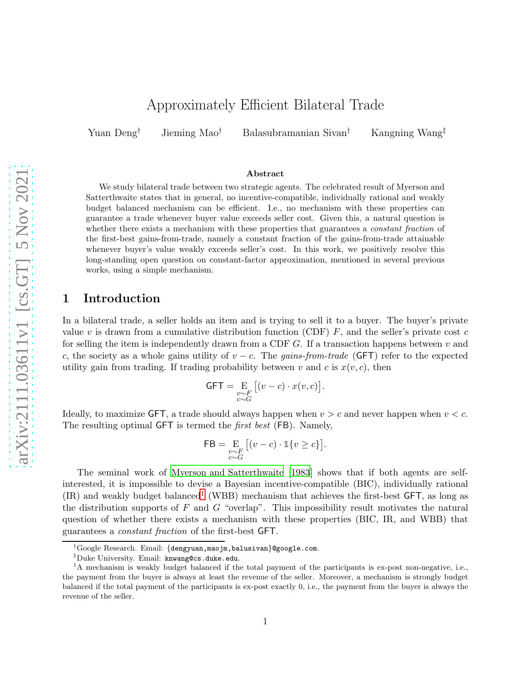# Approximately Efficient Bilateral Trade

Yuan Deng† Jieming Mao† Balasubramanian Sivan† Kangning Wang‡

#### Abstract

We study bilateral trade between two strategic agents. The celebrated result of Myerson and Satterthwaite states that in general, no incentive-compatible, individually rational and weakly budget balanced mechanism can be efficient. I.e., no mechanism with these properties can guarantee a trade whenever buyer value exceeds seller cost. Given this, a natural question is whether there exists a mechanism with these properties that guarantees a *constant fraction* of the first-best gains-from-trade, namely a constant fraction of the gains-from-trade attainable whenever buyer's value weakly exceeds seller's cost. In this work, we positively resolve this long-standing open question on constant-factor approximation, mentioned in several previous works, using a simple mechanism.

## 1 Introduction

In a bilateral trade, a seller holds an item and is trying to sell it to a buyer. The buyer's private value v is drawn from a cumulative distribution function (CDF)  $F$ , and the seller's private cost c for selling the item is independently drawn from a CDF  $G$ . If a transaction happens between  $v$  and c, the society as a whole gains utility of  $v - c$ . The gains-from-trade (GFT) refer to the expected utility gain from trading. If trading probability between v and c is  $x(v, c)$ , then

$$
\mathsf{GFT} = \mathop{\mathbf{E}}_{\substack{v \sim F \\ c \sim G}} \big[ (v-c) \cdot x(v,c) \big].
$$

Ideally, to maximize GFT, a trade should always happen when  $v > c$  and never happen when  $v < c$ . The resulting optimal GFT is termed the first best (FB). Namely,

$$
\mathsf{FB} = \underset{\substack{v \sim F \\ c \sim G}}{\mathbf{E}} \left[ (v - c) \cdot \mathbb{1} \{ v \ge c \} \right].
$$

The seminal work of [Myerson and Satterthwaite \[1983](#page-5-0)] shows that if both agents are selfinterested, it is impossible to devise a Bayesian incentive-compatible (BIC), individually rational  $(IR)$  and weakly budget balanced<sup>[1](#page-0-0)</sup> (WBB) mechanism that achieves the first-best GFT, as long as the distribution supports of  $F$  and  $G$  "overlap". This impossibility result motivates the natural question of whether there exists a mechanism with these properties (BIC, IR, and WBB) that guarantees a constant fraction of the first-best GFT.

<sup>†</sup>Google Research. Email: {dengyuan,maojm,balusivan}@google.com.

<sup>&</sup>lt;sup>‡</sup>Duke University. Email: knwang@cs.duke.edu.

<span id="page-0-0"></span><sup>&</sup>lt;sup>1</sup>A mechanism is weakly budget balanced if the total payment of the participants is ex-post non-negative, i.e., the payment from the buyer is always at least the revenue of the seller. Moreover, a mechanism is strongly budget balanced if the total payment of the participants is ex-post exactly 0, i.e., the payment from the buyer is always the revenue of the seller.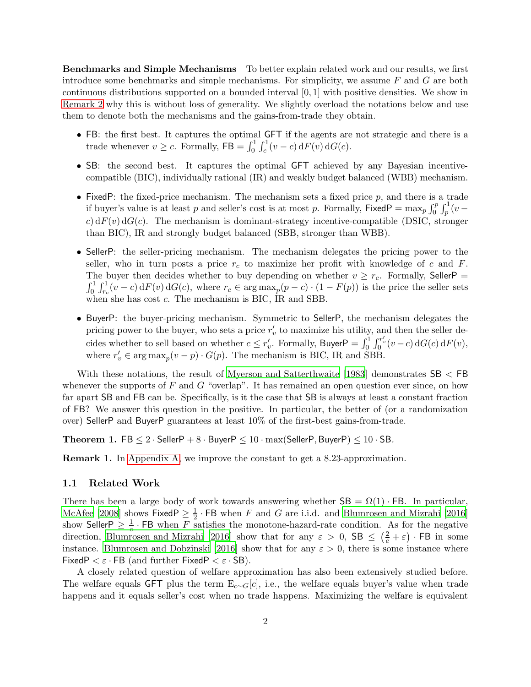Benchmarks and Simple Mechanisms To better explain related work and our results, we first introduce some benchmarks and simple mechanisms. For simplicity, we assume  $F$  and  $G$  are both continuous distributions supported on a bounded interval [0, 1] with positive densities. We show in [Remark 2](#page-4-0) why this is without loss of generality. We slightly overload the notations below and use them to denote both the mechanisms and the gains-from-trade they obtain.

- FB: the first best. It captures the optimal GFT if the agents are not strategic and there is a trade whenever  $v \ge c$ . Formally,  $\mathsf{FB} = \int_0^1 \int_c^1 (v - c) \, dF(v) \, dG(c)$ .
- SB: the second best. It captures the optimal GFT achieved by any Bayesian incentivecompatible (BIC), individually rational (IR) and weakly budget balanced (WBB) mechanism.
- FixedP: the fixed-price mechanism. The mechanism sets a fixed price  $p$ , and there is a trade if buyer's value is at least p and seller's cost is at most p. Formally,  $FixedP = \max_p \int_0^p \int_p^1 (v$ c)  $dF(v) dG(c)$ . The mechanism is dominant-strategy incentive-compatible (DSIC, stronger than BIC), IR and strongly budget balanced (SBB, stronger than WBB).
- SellerP: the seller-pricing mechanism. The mechanism delegates the pricing power to the seller, who in turn posts a price  $r_c$  to maximize her profit with knowledge of c and F. The buyer then decides whether to buy depending on whether  $v \ge r_c$ . Formally, SellerP =  $\int_0^1 \int_{r_c}^1 (v-c) dF(v) dG(c)$ , where  $r_c \in \arg \max_p(p-c) \cdot (1 - F(p))$  is the price the seller sets when she has cost  $c$ . The mechanism is BIC, IR and SBB.
- BuyerP: the buyer-pricing mechanism. Symmetric to SellerP, the mechanism delegates the pricing power to the buyer, who sets a price  $r'_v$  to maximize his utility, and then the seller decides whether to sell based on whether  $c \leq r'_v$ . Formally, Buyer $P = \int_0^1 \int_0^{r'_v} (v - c) dG(c) dF(v)$ , where  $r'_v \in \arg \max_p (v - p) \cdot G(p)$ . The mechanism is BIC, IR and SBB.

With these notations, the result of [Myerson and Satterthwaite \[1983](#page-5-0)] demonstrates SB < FB whenever the supports of  $F$  and  $G$  "overlap". It has remained an open question ever since, on how far apart SB and FB can be. Specifically, is it the case that SB is always at least a constant fraction of FB? We answer this question in the positive. In particular, the better of (or a randomization over) SellerP and BuyerP guarantees at least 10% of the first-best gains-from-trade.

<span id="page-1-0"></span>Theorem 1. FB  $\leq 2 \cdot$  SellerP + 8  $\cdot$  BuyerP  $\leq 10 \cdot \max(\text{SellerP}, \text{BuyerP}) \leq 10 \cdot \text{SB}$ .

Remark 1. In [Appendix A,](#page-5-1) we improve the constant to get a 8.23-approximation.

#### 1.1 Related Work

There has been a large body of work towards answering whether  $SB = \Omega(1) \cdot FB$ . In particular, [McAfee \[2008\]](#page-5-2) shows Fixed  $P \geq \frac{1}{2}$  $\frac{1}{2}$  · FB when F and G are i.i.d. and Blumrosen and Mizrahi [2016] show Seller  $P \geq \frac{1}{e}$ . FB when F satisfies the monotone-hazard-rate condition. As for the negative direction, Blumrosen and Mizrahi [2016] show that for any  $\varepsilon > 0$ ,  $\text{SB} \leq (\frac{2}{e} + \varepsilon) \cdot \text{FB}$  in some instance. Blumrosen and Dobzinski [2016] show that for any  $\varepsilon > 0$ , there is some instance where FixedP  $\lt \varepsilon$  · FB (and further FixedP  $\lt \varepsilon$  · SB).

A closely related question of welfare approximation has also been extensively studied before. The welfare equals GFT plus the term  $E_{c\sim G}[c]$ , i.e., the welfare equals buyer's value when trade happens and it equals seller's cost when no trade happens. Maximizing the welfare is equivalent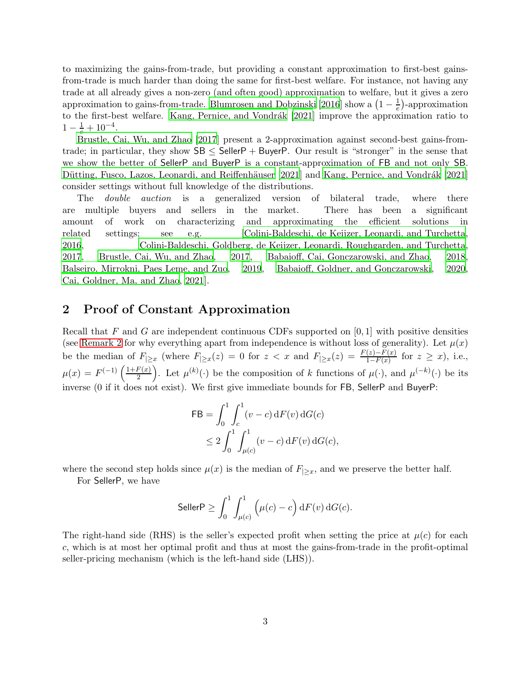to maximizing the gains-from-trade, but providing a constant approximation to first-best gainsfrom-trade is much harder than doing the same for first-best welfare. For instance, not having any trade at all already gives a non-zero (and often good) approximation to welfare, but it gives a zero approximation to gains-from-trade. Blumrosen and Dobzinski [2016] show a  $\left(1 - \frac{1}{e}\right)$ -approximation to the first-best welfare. Kang, Pernice, and Vondrák [2021] improve the approximation ratio to  $1-\frac{1}{e}+10^{-4}.$ 

Brustle, Cai, Wu, and Zhao [2017] present a 2-approximation against second-best gains-fromtrade; in particular, they show  $SB \leq$  SellerP + BuyerP. Our result is "stronger" in the sense that we show the better of SellerP and BuyerP is a constant-approximation of FB and not only SB. Dütting, Fusco, Lazos, Leonardi, and Reiffenhäuser [2021] and Kang, Pernice, and Vondrák [2021] consider settings without full knowledge of the distributions.

The *double auction* is a generalized version of bilateral trade, where there are multiple buyers and sellers in the market. There has been a significant amount of work on characterizing and approximating the efficient solutions in related settings; see e.g. [Colini-Baldeschi, de Keijzer, Leonardi, and Turchetta, 2016, Colini-Baldeschi, Goldberg, de Keijzer, Leonardi, Roughgarden, and Turchetta, 2017, Brustle, Cai, Wu, and Zhao, 2017, Babaioff, Cai, Gonczarowski, and Zhao, 2018, Balseiro, Mirrokni, Paes Leme, and Zuo, 2019, Babaioff, Goldner, and Gonczarowski, 2020, Cai, Goldner, Ma, and Zhao, 2021].

### 2 Proof of Constant Approximation

Recall that F and G are independent continuous CDFs supported on  $[0, 1]$  with positive densities (see [Remark 2](#page-4-0) for why everything apart from independence is without loss of generality). Let  $\mu(x)$ be the median of  $F_{\geq x}$  (where  $F_{\geq x}(z) = 0$  for  $z < x$  and  $F_{\geq x}(z) = \frac{F(z) - F(x)}{1 - F(x)}$  for  $z \geq x$ ), i.e.,  $\mu(x) = F^{(-1)}\left(\frac{1+F(x)}{2}\right)$  $\left(\frac{F(x)}{2}\right)$ . Let  $\mu^{(k)}(\cdot)$  be the composition of k functions of  $\mu(\cdot)$ , and  $\mu^{(-k)}(\cdot)$  be its inverse (0 if it does not exist). We first give immediate bounds for FB, SellerP and BuyerP:

$$
\mathsf{FB} = \int_0^1 \int_c^1 (v - c) \, dF(v) \, dG(c)
$$
  
 
$$
\leq 2 \int_0^1 \int_{\mu(c)}^1 (v - c) \, dF(v) \, dG(c),
$$

where the second step holds since  $\mu(x)$  is the median of  $F_{\geq x}$ , and we preserve the better half.

For SellerP, we have

$$
\mathsf{SellerP} \geq \int_0^1 \int_{\mu(c)}^1 \Big(\mu(c)-c\Big) \, \mathrm{d}F(v) \, \mathrm{d}G(c).
$$

The right-hand side (RHS) is the seller's expected profit when setting the price at  $\mu(c)$  for each c, which is at most her optimal profit and thus at most the gains-from-trade in the profit-optimal seller-pricing mechanism (which is the left-hand side (LHS)).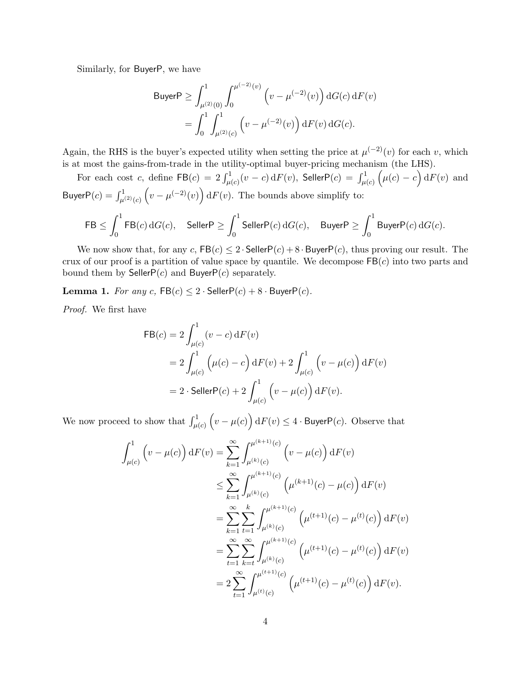Similarly, for BuyerP, we have

Buyer
$$
P \geq \int_{\mu^{(2)}(0)}^{1} \int_{0}^{\mu^{(-2)}(v)} \left( v - \mu^{(-2)}(v) \right) dG(c) dF(v)
$$

\n
$$
= \int_{0}^{1} \int_{\mu^{(2)}(c)}^{1} \left( v - \mu^{(-2)}(v) \right) dF(v) dG(c).
$$

Again, the RHS is the buyer's expected utility when setting the price at  $\mu^{(-2)}(v)$  for each v, which is at most the gains-from-trade in the utility-optimal buyer-pricing mechanism (the LHS).

For each cost  $c,$  define  $\mathsf{FB}(c)\,=\,2\int_{\mu(c)}^1(v\,-\,c)\,\mathrm{d}F(v),$  Seller $\mathsf{P}(c)\,=\,\int_{\mu(c)}^1\Big(\mu(c)\,-\,c\Big)\,\mathrm{d}F(v)$  and Buyer $P(c) = \int_{\mu^{(2)}(c)}^1 (v - \mu^{(-2)}(v)) dF(v)$ . The bounds above simplify to:

$$
\mathsf{FB} \leq \int_0^1 \mathsf{FB}(c) \, \mathrm{d} G(c), \quad \mathsf{SellerP} \geq \int_0^1 \mathsf{SellerP}(c) \, \mathrm{d} G(c), \quad \mathsf{BuyerP} \geq \int_0^1 \mathsf{BuyerP}(c) \, \mathrm{d} G(c).
$$

We now show that, for any  $c, FB(c) \leq 2 \cdot SellerP(c) + 8 \cdot BuperP(c)$ , thus proving our result. The crux of our proof is a partition of value space by quantile. We decompose  $\mathsf{FB}(c)$  into two parts and bound them by Seller $P(c)$  and Buyer $P(c)$  separately.

**Lemma 1.** For any c,  $FB(c) \leq 2 \cdot SellerP(c) + 8 \cdot BuperP(c)$ .

Proof. We first have

$$
FB(c) = 2 \int_{\mu(c)}^{1} (v - c) dF(v)
$$
  
=  $2 \int_{\mu(c)}^{1} (\mu(c) - c) dF(v) + 2 \int_{\mu(c)}^{1} (v - \mu(c)) dF(v)$   
=  $2 \cdot$  SellerP(c) +  $2 \int_{\mu(c)}^{1} (v - \mu(c)) dF(v)$ .

We now proceed to show that  $\int_{\mu(c)}^1 (v - \mu(c)) dF(v) \leq 4 \cdot B$ uyerP $(c)$ . Observe that

$$
\int_{\mu(c)}^{1} \left( v - \mu(c) \right) dF(v) = \sum_{k=1}^{\infty} \int_{\mu^{(k)}(c)}^{\mu^{(k+1)}(c)} \left( v - \mu(c) \right) dF(v)
$$
  

$$
\leq \sum_{k=1}^{\infty} \int_{\mu^{(k)}(c)}^{\mu^{(k+1)}(c)} \left( \mu^{(k+1)}(c) - \mu(c) \right) dF(v)
$$
  

$$
= \sum_{k=1}^{\infty} \sum_{t=1}^{k} \int_{\mu^{(k)}(c)}^{\mu^{(k+1)}(c)} \left( \mu^{(t+1)}(c) - \mu^{(t)}(c) \right) dF(v)
$$
  

$$
= \sum_{t=1}^{\infty} \sum_{k=t}^{\infty} \int_{\mu^{(k)}(c)}^{\mu^{(k+1)}(c)} \left( \mu^{(t+1)}(c) - \mu^{(t)}(c) \right) dF(v)
$$
  

$$
= 2 \sum_{t=1}^{\infty} \int_{\mu^{(t)}(c)}^{\mu^{(t+1)}(c)} \left( \mu^{(t+1)}(c) - \mu^{(t)}(c) \right) dF(v).
$$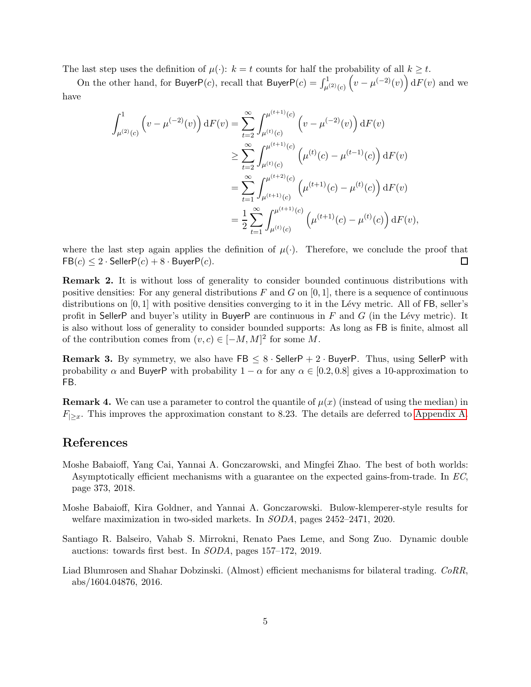The last step uses the definition of  $\mu(\cdot)$ :  $k = t$  counts for half the probability of all  $k \geq t$ .

On the other hand, for BuyerP(c), recall that BuyerP(c) =  $\int_{\mu^{(2)}(c)}^1 \left(v-\mu^{(-2)}(v)\right) \mathrm{d}F(v)$  and we have

$$
\int_{\mu^{(2)}(c)}^{1} \left(v - \mu^{(-2)}(v)\right) dF(v) = \sum_{t=2}^{\infty} \int_{\mu^{(t)}(c)}^{\mu^{(t+1)}(c)} \left(v - \mu^{(-2)}(v)\right) dF(v)
$$
  
\n
$$
\geq \sum_{t=2}^{\infty} \int_{\mu^{(t)}(c)}^{\mu^{(t+1)}(c)} \left(\mu^{(t)}(c) - \mu^{(t-1)}(c)\right) dF(v)
$$
  
\n
$$
= \sum_{t=1}^{\infty} \int_{\mu^{(t+2)}(c)}^{\mu^{(t+2)}(c)} \left(\mu^{(t+1)}(c) - \mu^{(t)}(c)\right) dF(v)
$$
  
\n
$$
= \frac{1}{2} \sum_{t=1}^{\infty} \int_{\mu^{(t)}(c)}^{\mu^{(t+1)}(c)} \left(\mu^{(t+1)}(c) - \mu^{(t)}(c)\right) dF(v),
$$

where the last step again applies the definition of  $\mu(\cdot)$ . Therefore, we conclude the proof that  $FB(c) \leq 2 \cdot$  Seller $P(c) + 8 \cdot$  Buyer $P(c)$ .  $\Box$ 

<span id="page-4-0"></span>Remark 2. It is without loss of generality to consider bounded continuous distributions with positive densities: For any general distributions F and G on  $[0, 1]$ , there is a sequence of continuous distributions on  $[0, 1]$  with positive densities converging to it in the Lévy metric. All of FB, seller's profit in SellerP and buyer's utility in BuyerP are continuous in  $F$  and  $G$  (in the Lévy metric). It is also without loss of generality to consider bounded supports: As long as FB is finite, almost all of the contribution comes from  $(v, c) \in [-M, M]^2$  for some M.

**Remark 3.** By symmetry, we also have  $\textsf{FB} \leq 8 \cdot \textsf{SellerP} + 2 \cdot \textsf{BuyerP}$ . Thus, using SellerP with probability  $\alpha$  and BuyerP with probability  $1 - \alpha$  for any  $\alpha \in [0.2, 0.8]$  gives a 10-approximation to FB.

**Remark 4.** We can use a parameter to control the quantile of  $\mu(x)$  (instead of using the median) in  $F_{\geq x}$ . This improves the approximation constant to 8.23. The details are deferred to [Appendix A.](#page-5-1)

## References

- Moshe Babaioff, Yang Cai, Yannai A. Gonczarowski, and Mingfei Zhao. The best of both worlds: Asymptotically efficient mechanisms with a guarantee on the expected gains-from-trade. In EC, page 373, 2018.
- Moshe Babaioff, Kira Goldner, and Yannai A. Gonczarowski. Bulow-klemperer-style results for welfare maximization in two-sided markets. In SODA, pages 2452–2471, 2020.
- Santiago R. Balseiro, Vahab S. Mirrokni, Renato Paes Leme, and Song Zuo. Dynamic double auctions: towards first best. In SODA, pages 157–172, 2019.
- Liad Blumrosen and Shahar Dobzinski. (Almost) efficient mechanisms for bilateral trading. CoRR, abs/1604.04876, 2016.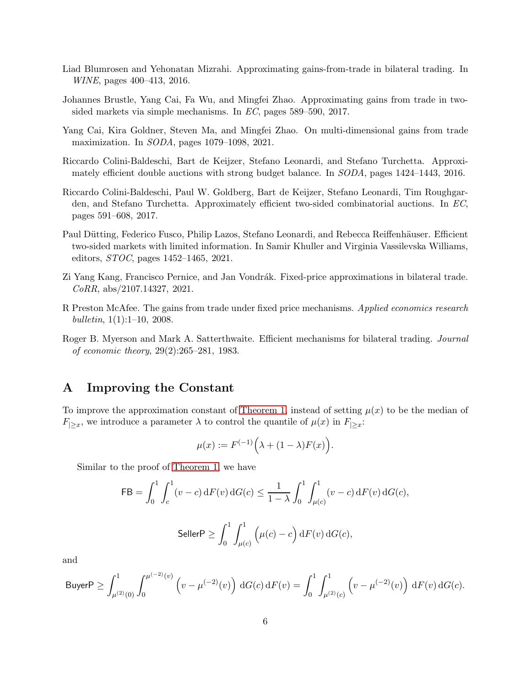- Liad Blumrosen and Yehonatan Mizrahi. Approximating gains-from-trade in bilateral trading. In WINE, pages 400–413, 2016.
- Johannes Brustle, Yang Cai, Fa Wu, and Mingfei Zhao. Approximating gains from trade in twosided markets via simple mechanisms. In EC, pages 589–590, 2017.
- Yang Cai, Kira Goldner, Steven Ma, and Mingfei Zhao. On multi-dimensional gains from trade maximization. In SODA, pages 1079–1098, 2021.
- Riccardo Colini-Baldeschi, Bart de Keijzer, Stefano Leonardi, and Stefano Turchetta. Approximately efficient double auctions with strong budget balance. In SODA, pages 1424–1443, 2016.
- Riccardo Colini-Baldeschi, Paul W. Goldberg, Bart de Keijzer, Stefano Leonardi, Tim Roughgarden, and Stefano Turchetta. Approximately efficient two-sided combinatorial auctions. In EC, pages 591–608, 2017.
- Paul Dütting, Federico Fusco, Philip Lazos, Stefano Leonardi, and Rebecca Reiffenhäuser. Efficient two-sided markets with limited information. In Samir Khuller and Virginia Vassilevska Williams, editors, STOC, pages 1452–1465, 2021.
- Zi Yang Kang, Francisco Pernice, and Jan Vondrák. Fixed-price approximations in bilateral trade. CoRR, abs/2107.14327, 2021.
- <span id="page-5-2"></span>R Preston McAfee. The gains from trade under fixed price mechanisms. Applied economics research bulletin, 1(1):1–10, 2008.
- <span id="page-5-0"></span>Roger B. Myerson and Mark A. Satterthwaite. Efficient mechanisms for bilateral trading. Journal of economic theory, 29(2):265–281, 1983.

## <span id="page-5-1"></span>A Improving the Constant

To improve the approximation constant of [Theorem 1,](#page-1-0) instead of setting  $\mu(x)$  to be the median of  $F_{|>x}$ , we introduce a parameter  $\lambda$  to control the quantile of  $\mu(x)$  in  $F_{|>x}$ :

$$
\mu(x) := F^{(-1)}\Big(\lambda + (1-\lambda)F(x)\Big).
$$

Similar to the proof of [Theorem 1,](#page-1-0) we have

$$
\begin{aligned} \mathsf{FB} = \int_0^1 \int_c^1 (v-c) \, \mathrm{d}F(v) \, \mathrm{d}G(c) \leq \frac{1}{1-\lambda} \int_0^1 \int_{\mu(c)}^1 (v-c) \, \mathrm{d}F(v) \, \mathrm{d}G(c), \\\\ \mathsf{SellerP} \geq \int_0^1 \int_{\mu(c)}^1 \Big(\mu(c)-c\Big) \, \mathrm{d}F(v) \, \mathrm{d}G(c), \end{aligned}
$$

and

\n
$$
\text{Buyer} \, P \geq \int_{\mu^{(2)}(0)}^1 \int_0^{\mu^{(-2)}(v)} \left( v - \mu^{(-2)}(v) \right) \, \mathrm{d}G(c) \, \mathrm{d}F(v) = \int_0^1 \int_{\mu^{(2)}(c)}^1 \left( v - \mu^{(-2)}(v) \right) \, \mathrm{d}F(v) \, \mathrm{d}G(c).
$$
\n